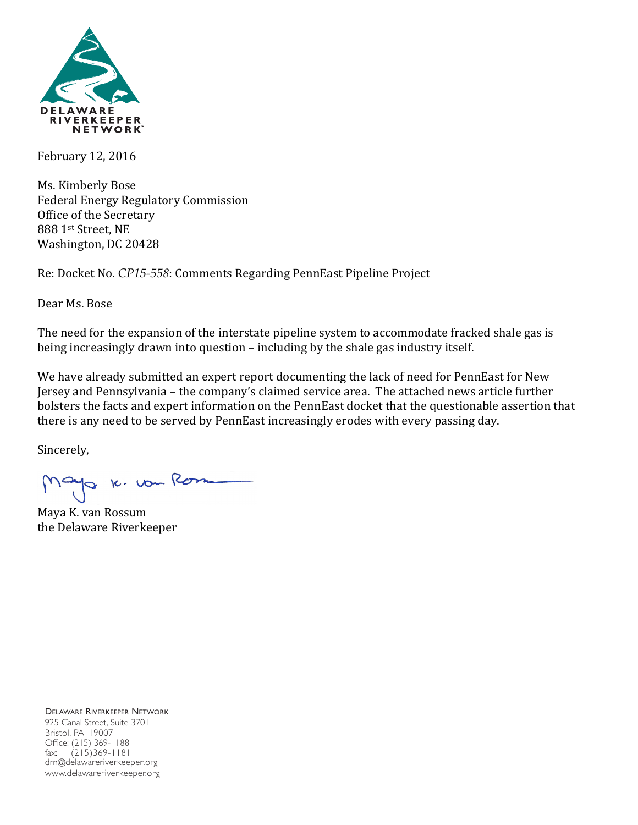

February 12, 2016

Ms. Kimberly Bose Federal Energy Regulatory Commission Office of the Secretary 888 1st Street, NE Washington, DC 20428

Re: Docket No. CP15-558: Comments Regarding PennEast Pipeline Project

Dear Ms. Bose

The need for the expansion of the interstate pipeline system to accommodate fracked shale gas is being increasingly drawn into question - including by the shale gas industry itself.

We have already submitted an expert report documenting the lack of need for PennEast for New Jersey and Pennsylvania - the company's claimed service area. The attached news article further bolsters the facts and expert information on the PennEast docket that the questionable assertion that there is any need to be served by PennEast increasingly erodes with every passing day.

Sincerely,

Mayo 16. von Rom

Maya K. van Rossum the Delaware Riverkeeper

DELAWARE RIVERKEEPER NETWORK 925 Canal Street, Suite 3701 Bristol, PA 19007 Office: (215) 369-1188 fax: (215)369-1181 drn@delawareriverkeeper.org www.delawareriverkeeper.org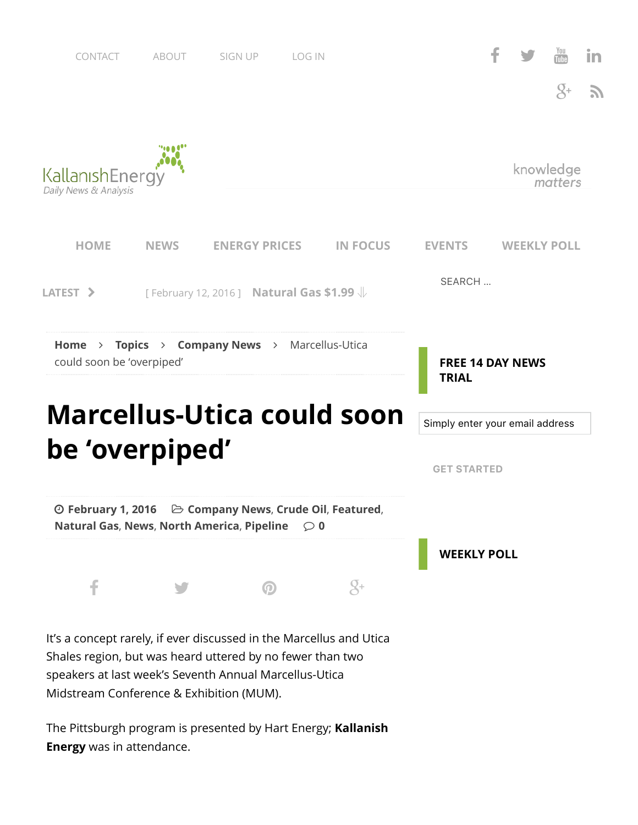





**Energy** was in attendance.